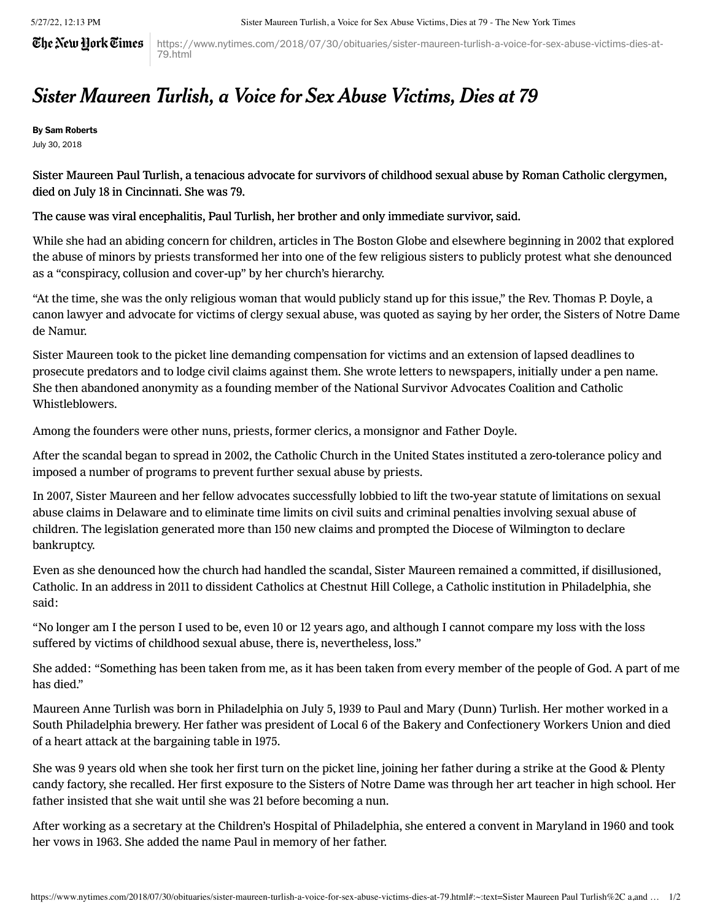The New York Times

https://www.nytimes.com/2018/07/30/obituaries/sister-maureen-turlish-a-voice-for-sex-abuse-victims-dies-at-79.html

## Sister Maureen Turlish, a Voice for Sex Abuse Victims, Dies at 79

By [Sam Roberts](http://www.nytimes.com/by/sam-roberts) July 30, 2018

Sister Maureen Paul Turlish, a tenacious advocate for survivors of childhood sexual abuse by Roman Catholic clergymen, died on July 18 in Cincinnati. She was 79.

## The cause was viral encephalitis, Paul Turlish, her brother and only immediate survivor, said.

While she had an abiding concern for children, articles in The Boston Globe and elsewhere beginning in 2002 that explored the abuse of minors by priests transformed her into one of the few religious sisters to publicly protest what she denounced as a "conspiracy, collusion and cover-up" by her church's hierarchy.

"At the time, she was the only religious woman that would publicly stand up for this issue," the Rev. Thomas P. Doyle, a canon lawyer and advocate for victims of clergy sexual abuse, was quoted as saying by her order, the Sisters of Notre Dame de Namur.

Sister Maureen took to the picket line demanding compensation for victims and an extension of lapsed deadlines to prosecute predators and to lodge civil claims against them. She wrote letters to newspapers, initially under a pen name. She then abandoned anonymity as a founding member of the National Survivor [Advocates](http://www.nsacoalition.com/index.html) Coalition and Catholic [Whistleblowers.](http://www.catholicwhistleblowers.com/)

Among the founders were other nuns, priests, former clerics, a monsignor and Father Doyle.

After the scandal began to spread in 2002, the Catholic Church in the United States instituted a zero-tolerance policy and imposed a number of programs to prevent further sexual abuse by priests.

In 2007, Sister Maureen and her fellow advocates successfully lobbied to lift the two-year statute of limitations on sexual abuse claims in Delaware and to eliminate time limits on civil suits and criminal penalties involving sexual abuse of children. The legislation generated more than 150 new claims and prompted the Diocese of Wilmington to declare bankruptcy.

Even as she denounced how the church had handled the scandal, Sister Maureen remained a committed, if disillusioned, Catholic. In an address in 2011 to dissident Catholics at Chestnut Hill College, a Catholic institution in Philadelphia, she said:

"No longer am I the person I used to be, even 10 or 12 years ago, and although I cannot compare my loss with the loss suffered by victims of childhood sexual abuse, there is, nevertheless, loss."

She added: "Something has been taken from me, as it has been taken from every member of the people of God. A part of me has died."

Maureen Anne Turlish was born in Philadelphia on July 5, 1939 to Paul and Mary (Dunn) Turlish. Her mother worked in a South Philadelphia brewery. Her father was president of Local 6 of the Bakery and Confectionery Workers Union and died of a heart attack at the bargaining table in 1975.

She was 9 years old when she took her first turn on the picket line, joining her father during a strike at the Good & Plenty candy factory, she recalled. Her first exposure to the Sisters of Notre Dame was through her art teacher in high school. Her father insisted that she wait until she was 21 before becoming a nun.

After working as a secretary at the Children's Hospital of Philadelphia, she entered a convent in Maryland in 1960 and took her vows in 1963. She added the name Paul in memory of her father.